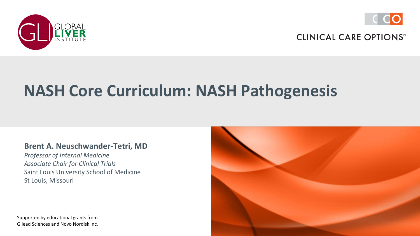



# **NASH Core Curriculum: NASH Pathogenesis**

#### **Brent A. Neuschwander-Tetri, MD**

*Professor of Internal Medicine Associate Chair for Clinical Trials* Saint Louis University School of Medicine St Louis, Missouri

Supported by educational grants from Gilead Sciences and Novo Nordisk Inc.

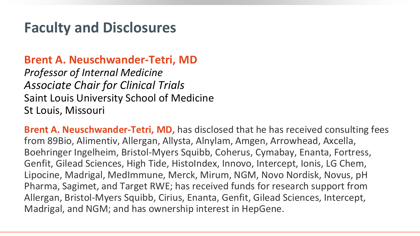### **Faculty and Disclosures**

**Brent A. Neuschwander-Tetri, MD**

*Professor of Internal Medicine Associate Chair for Clinical Trials* Saint Louis University School of Medicine St Louis, Missouri

**Brent A. Neuschwander-Tetri, MD,** has disclosed that he has received consulting fees from 89Bio, Alimentiv, Allergan, Allysta, Alnylam, Amgen, Arrowhead, Axcella, Boehringer Ingelheim, Bristol-Myers Squibb, Coherus, Cymabay, Enanta, Fortress, Genfit, Gilead Sciences, High Tide, HistoIndex, Innovo, Intercept, Ionis, LG Chem, Lipocine, Madrigal, MedImmune, Merck, Mirum, NGM, Novo Nordisk, Novus, pH Pharma, Sagimet, and Target RWE; has received funds for research support from Allergan, Bristol-Myers Squibb, Cirius, Enanta, Genfit, Gilead Sciences, Intercept, Madrigal, and NGM; and has ownership interest in HepGene.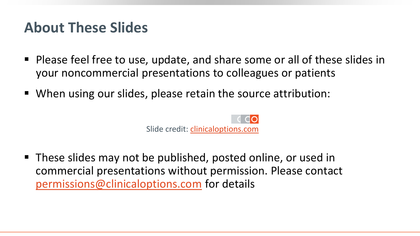### **About These Slides**

- Please feel free to use, update, and share some or all of these slides in your noncommercial presentations to colleagues or patients
- When using our slides, please retain the source attribution:



■ These slides may not be published, posted online, or used in commercial presentations without permission. Please contact [permissions@clinicaloptions.com](mailto:permissions@clinicaloptions.com) for details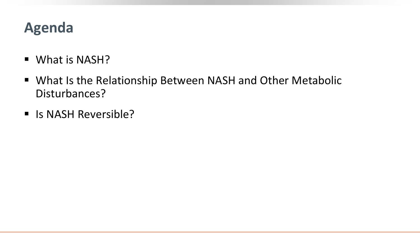## **Agenda**

- What is NASH?
- What Is the Relationship Between NASH and Other Metabolic Disturbances?
- Is NASH Reversible?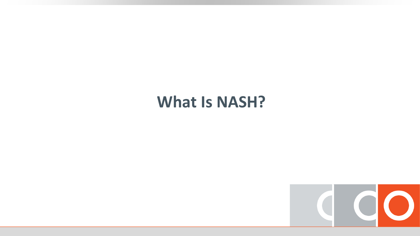### **What Is NASH?**

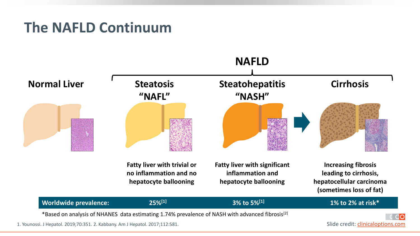### **The NAFLD Continuum**



Slide credit: [clinicaloptions.com](http://www.clinicaloptions.com/)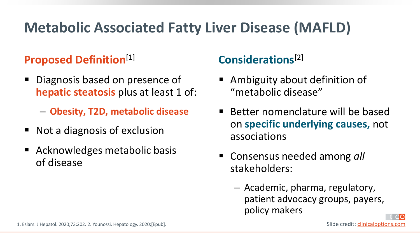## **Metabolic Associated Fatty Liver Disease (MAFLD)**

### **Proposed Definition**[1]

- Diagnosis based on presence of **hepatic steatosis** plus at least 1 of:
	- ‒ **Obesity, T2D, metabolic disease**
- Not a diagnosis of exclusion
- Acknowledges metabolic basis of disease

### **Considerations**[2]

- Ambiguity about definition of "metabolic disease"
- Better nomenclature will be based on **specific underlying causes,** not associations
- Consensus needed among *all* stakeholders:
	- ‒ Academic, pharma, regulatory, patient advocacy groups, payers, policy makers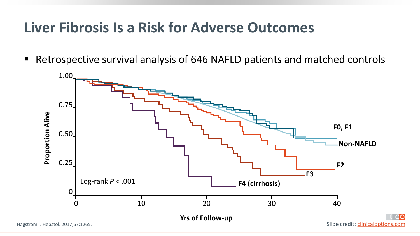### **Liver Fibrosis Is a Risk for Adverse Outcomes**

■ Retrospective survival analysis of 646 NAFLD patients and matched controls



Hagström. J Hepatol. 2017;67:1265.

Slide credit: [clinicaloptions.com](http://www.clinicaloptions.com/)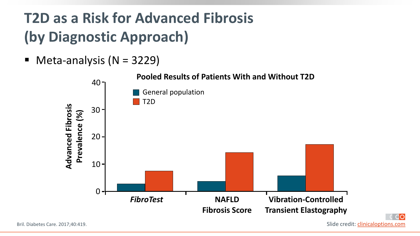# **T2D as a Risk for Advanced Fibrosis (by Diagnostic Approach)**

 $\blacksquare$  Meta-analysis (N = 3229)



**do**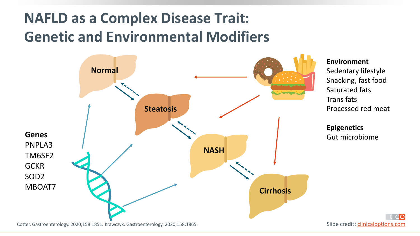## **NAFLD as a Complex Disease Trait: Genetic and Environmental Modifiers**



#### **Environment**

Sedentary lifestyle Snacking, fast food Saturated fats Trans fats Processed red meat

**Epigenetics** Gut microbiome

Cotter. Gastroenterology. 2020;158:1851. Krawczyk. Gastroenterology. 2020;158:1865.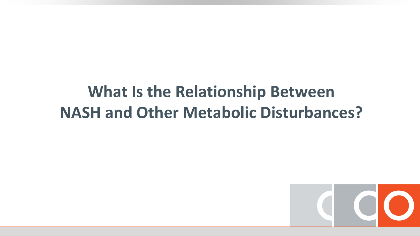# **What Is the Relationship Between NASH and Other Metabolic Disturbances?**

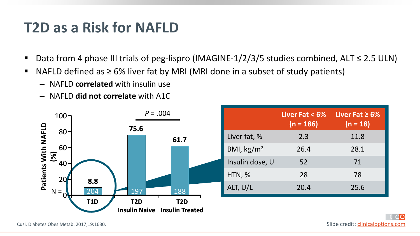### **T2D as a Risk for NAFLD**

- Data from 4 phase III trials of peg-lispro (IMAGINE-1/2/3/5 studies combined, ALT ≤ 2.5 ULN)
- NAFLD defined as  $\geq$  6% liver fat by MRI (MRI done in a subset of study patients)
	- ‒ NAFLD **correlated** with insulin use
	- ‒ NAFLD **did not correlate** with A1C



|  |                      | Liver Fat $< 6\%$<br>$(n = 186)$ | Liver Fat $\geq 6\%$<br>$(n = 18)$ |
|--|----------------------|----------------------------------|------------------------------------|
|  | Liver fat, %         | 2.3                              | 11.8                               |
|  | BMI, $\text{kg/m}^2$ | 26.4                             | 28.1                               |
|  | Insulin dose, U      | 52                               | 71                                 |
|  | HTN, %               | 28                               | 78                                 |
|  | ALT, U/L             | 20.4                             | 25.6                               |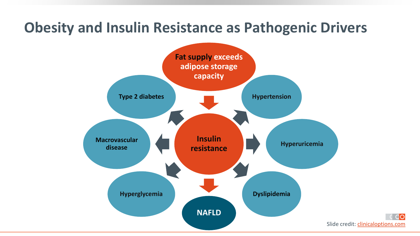### **Obesity and Insulin Resistance as Pathogenic Drivers**



ിറ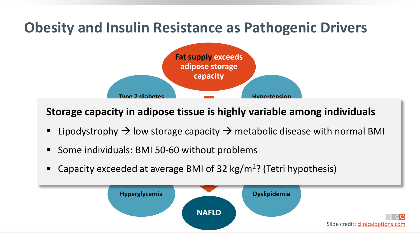## **Obesity and Insulin Resistance as Pathogenic Drivers**



**Storage capacity in adipose tissue is highly variable among individuals**

- **Insulin**  Lipodystrophy  $\rightarrow$  low storage capacity  $\rightarrow$  metabolic disease with normal BMI
- Some individuals: BMI 50-60 without problems
- Capacity exceeded at average BMI of 32 kg/m<sup>2</sup>? (Tetri hypothesis)

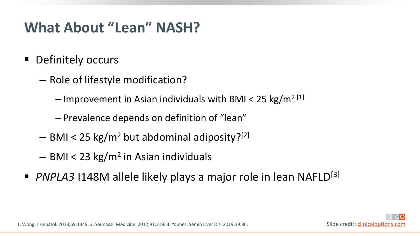## **What About "Lean" NASH?**

- Definitely occurs
	- ‒ Role of lifestyle modification?
		- $-$  Improvement in Asian individuals with BMI < 25 kg/m<sup>2 [1]</sup>
		- ‒ Prevalence depends on definition of "lean"
	- $-$  BMI < 25 kg/m<sup>2</sup> but abdominal adiposity?<sup>[2]</sup>
	- $-$  BMI < 23 kg/m<sup>2</sup> in Asian individuals
- *PNPLA3* I148M allele likely plays a major role in lean NAFLD<sup>[3]</sup>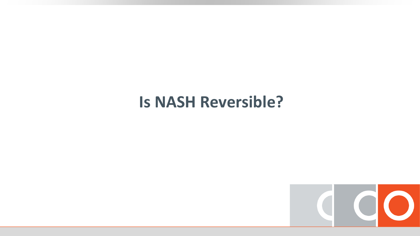### **Is NASH Reversible?**

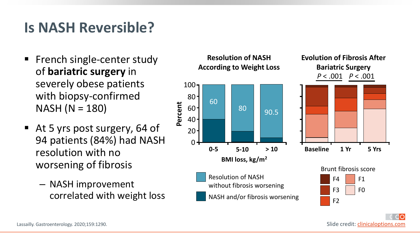## **Is NASH Reversible?**

- French single-center study of **bariatric surgery** in severely obese patients with biopsy-confirmed NASH (N = 180)
- At 5 yrs post surgery, 64 of 94 patients (84%) had NASH resolution with no worsening of fibrosis
	- ‒ NASH improvement correlated with weight loss

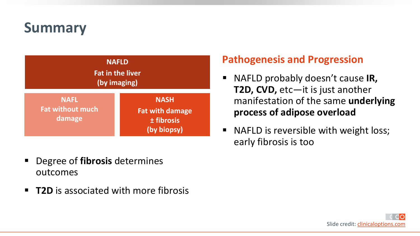## **Summary**



- Degree of **fibrosis** determines outcomes
- **T2D** is associated with more fibrosis

### **Pathogenesis and Progression**

- NAFLD probably doesn't cause **IR**, **T2D, CVD,** etc—it is just another manifestation of the same **underlying process of adipose overload**
- NAFLD is reversible with weight loss; early fibrosis is too